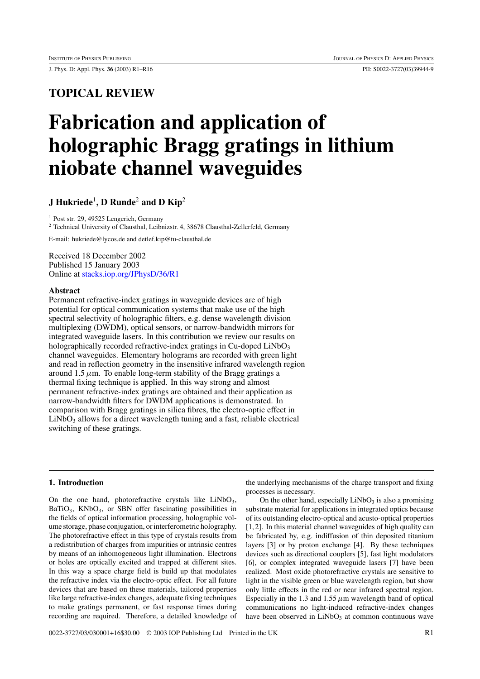J. Phys. D: Appl. Phys. **36** (2003) R1–R16 PII: S0022-3727(03)39944-9

# **TOPICAL REVIEW**

# **Fabrication and application of holographic Bragg gratings in lithium niobate channel waveguides**

## **J Hukriede**<sup>1</sup>**, D Runde**<sup>2</sup> **and D Kip**<sup>2</sup>

<sup>1</sup> Post str. 29, 49525 Lengerich, Germany

<sup>2</sup> Technical University of Clausthal, Leibnizstr. 4, 38678 Clausthal-Zellerfeld, Germany

E-mail: hukriede@lycos.de and detlef.kip@tu-clausthal.de

Received 18 December 2002 Published 15 January 2003 Online at [stacks.iop.org/JPhysD/36/R1](http://stacks.iop.org/jd/36/R1)

#### **Abstract**

Permanent refractive-index gratings in waveguide devices are of high potential for optical communication systems that make use of the high spectral selectivity of holographic filters, e.g. dense wavelength division multiplexing (DWDM), optical sensors, or narrow-bandwidth mirrors for integrated waveguide lasers. In this contribution we review our results on holographically recorded refractive-index gratings in Cu-doped  $LiNbO<sub>3</sub>$ channel waveguides. Elementary holograms are recorded with green light and read in reflection geometry in the insensitive infrared wavelength region around  $1.5 \mu$ m. To enable long-term stability of the Bragg gratings a thermal fixing technique is applied. In this way strong and almost permanent refractive-index gratings are obtained and their application as narrow-bandwidth filters for DWDM applications is demonstrated. In comparison with Bragg gratings in silica fibres, the electro-optic effect in  $LiNbO<sub>3</sub>$  allows for a direct wavelength tuning and a fast, reliable electrical switching of these gratings.

### **1. Introduction**

On the one hand, photorefractive crystals like  $LiNbO<sub>3</sub>$ , BaTiO<sub>3</sub>, KNbO<sub>3</sub>, or SBN offer fascinating possibilities in the fields of optical information processing, holographic volume storage, phase conjugation, or interferometric holography. The photorefractive effect in this type of crystals results from a redistribution of charges from impurities or intrinsic centres by means of an inhomogeneous light illumination. Electrons or holes are optically excited and trapped at different sites. In this way a space charge field is build up that modulates the refractive index via the electro-optic effect. For all future devices that are based on these materials, tailored properties like large refractive-index changes, adequate fixing techniques to make gratings permanent, or fast response times during recording are required. Therefore, a detailed knowledge of the underlying mechanisms of the charge transport and fixing processes is necessary.

On the other hand, especially  $LiNbO<sub>3</sub>$  is also a promising substrate material for applications in integrated optics because of its outstanding electro-optical and acusto-optical properties [1,2]. In this material channel waveguides of high quality can be fabricated by, e.g. indiffusion of thin deposited titanium layers [3] or by proton exchange [4]. By these techniques devices such as directional couplers [5], fast light modulators [6], or complex integrated waveguide lasers [7] have been realized. Most oxide photorefractive crystals are sensitive to light in the visible green or blue wavelength region, but show only little effects in the red or near infrared spectral region. Especially in the 1.3 and 1.55  $\mu$ m wavelength band of optical communications no light-induced refractive-index changes have been observed in LiNbO<sub>3</sub> at common continuous wave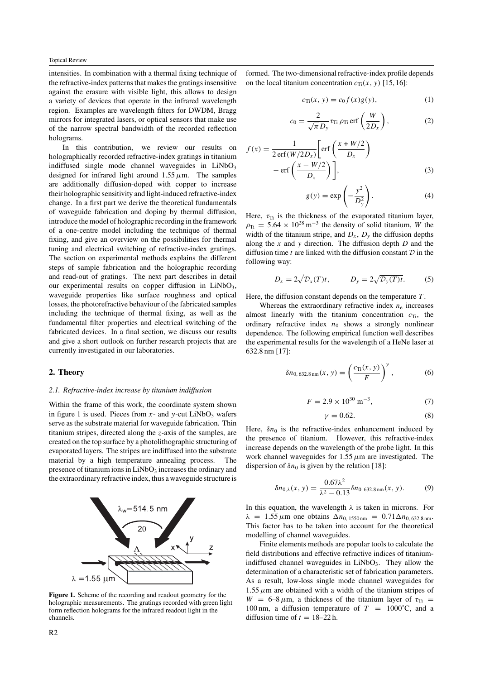intensities. In combination with a thermal fixing technique of the refractive-index patterns that makes the gratings insensitive against the erasure with visible light, this allows to design a variety of devices that operate in the infrared wavelength region. Examples are wavelength filters for DWDM, Bragg mirrors for integrated lasers, or optical sensors that make use of the narrow spectral bandwidth of the recorded reflection holograms.

In this contribution, we review our results on holographically recorded refractive-index gratings in titanium indiffused single mode channel waveguides in  $LiNbO<sub>3</sub>$ designed for infrared light around  $1.55 \mu$ m. The samples are additionally diffusion-doped with copper to increase their holographic sensitivity and light-induced refractive-index change. In a first part we derive the theoretical fundamentals of waveguide fabrication and doping by thermal diffusion, introduce the model of holographic recording in the framework of a one-centre model including the technique of thermal fixing, and give an overview on the possibilities for thermal tuning and electrical switching of refractive-index gratings. The section on experimental methods explains the different steps of sample fabrication and the holographic recording and read-out of gratings. The next part describes in detail our experimental results on copper diffusion in  $LiNbO<sub>3</sub>$ , waveguide properties like surface roughness and optical losses, the photorefractive behaviour of the fabricated samples including the technique of thermal fixing, as well as the fundamental filter properties and electrical switching of the fabricated devices. In a final section, we discuss our results and give a short outlook on further research projects that are currently investigated in our laboratories.

#### **2. Theory**

#### *2.1. Refractive-index increase by titanium indiffusion*

Within the frame of this work, the coordinate system shown in figure 1 is used. Pieces from  $x$ - and  $y$ -cut LiNbO<sub>3</sub> wafers serve as the substrate material for waveguide fabrication. Thin titanium stripes, directed along the *z*-axis of the samples, are created on the top surface by a photolithographic structuring of evaporated layers. The stripes are indiffused into the substrate material by a high temperature annealing process. The presence of titanium ions in  $LiNbO<sub>3</sub>$  increases the ordinary and the extraordinary refractive index, thus a waveguide structure is



**Figure 1.** Scheme of the recording and readout geometry for the holographic measurements. The gratings recorded with green light form reflection holograms for the infrared readout light in the channels.

formed. The two-dimensional refractive-index profile depends on the local titanium concentration  $c_{\text{Ti}}(x, y)$  [15, 16]:

$$
c_{\text{Ti}}(x, y) = c_0 f(x) g(y), \tag{1}
$$

$$
c_0 = \frac{2}{\sqrt{\pi} D_y} \tau_{\text{Ti}} \rho_{\text{Ti}} \text{erf}\left(\frac{W}{2D_x}\right), \tag{2}
$$

$$
f(x) = \frac{1}{2 \operatorname{erf}(W/2D_x)} \left[ \operatorname{erf}\left(\frac{x + W/2}{D_x}\right) - \operatorname{erf}\left(\frac{x - W/2}{D_x}\right) \right],\tag{3}
$$

$$
g(y) = \exp\left(-\frac{y^2}{D_y^2}\right). \tag{4}
$$

Here,  $\tau_{\text{Ti}}$  is the thickness of the evaporated titanium layer,  $\rho_{\text{Ti}} = 5.64 \times 10^{28} \,\text{m}^{-3}$  the density of solid titanium, *W* the width of the titanium stripe, and  $D_x$ ,  $D_y$  the diffusion depths along the *x* and *y* direction. The diffusion depth *D* and the diffusion time  $t$  are linked with the diffusion constant  $D$  in the following way:

$$
D_x = 2\sqrt{\mathcal{D}_x(T)t}, \qquad D_y = 2\sqrt{\mathcal{D}_y(T)t}.
$$
 (5)

Here, the diffusion constant depends on the temperature *T* .

Whereas the extraordinary refractive index  $n_e$  increases almost linearly with the titanium concentration  $c_{\text{Ti}}$ , the ordinary refractive index  $n_0$  shows a strongly nonlinear dependence. The following empirical function well describes the experimental results for the wavelength of a HeNe laser at 632.8 nm [17]:

$$
\delta n_{0,632.8\,\text{nm}}(x,\,y) = \left(\frac{c_{\text{Ti}}(x,\,y)}{F}\right)^{\gamma},\tag{6}
$$

$$
F = 2.9 \times 10^{30} \text{ m}^{-3},\tag{7}
$$

$$
\gamma = 0.62.\tag{8}
$$

Here,  $\delta n_0$  is the refractive-index enhancement induced by the presence of titanium. However, this refractive-index increase depends on the wavelength of the probe light. In this work channel waveguides for  $1.55 \mu m$  are investigated. The dispersion of  $\delta n_0$  is given by the relation [18]:

$$
\delta n_{0,\lambda}(x, y) = \frac{0.67\lambda^2}{\lambda^2 - 0.13} \delta n_{0,632.8\,\text{nm}}(x, y). \tag{9}
$$

In this equation, the wavelength *λ* is taken in microns. For  $λ = 1.55 \mu$ m one obtains  $Δn_{0.1550 \text{ nm}} = 0.71Δn_{0.632.8 \text{ nm}}$ . This factor has to be taken into account for the theoretical modelling of channel waveguides.

Finite elements methods are popular tools to calculate the field distributions and effective refractive indices of titaniumindiffused channel waveguides in  $LiNbO<sub>3</sub>$ . They allow the determination of a characteristic set of fabrication parameters. As a result, low-loss single mode channel waveguides for  $1.55 \mu$ m are obtained with a width of the titanium stripes of  $W = 6-8 \mu m$ , a thickness of the titanium layer of  $\tau_{Ti}$ 100 nm, a diffusion temperature of  $T = 1000^{\circ}$ C, and a diffusion time of  $t = 18-22$  h.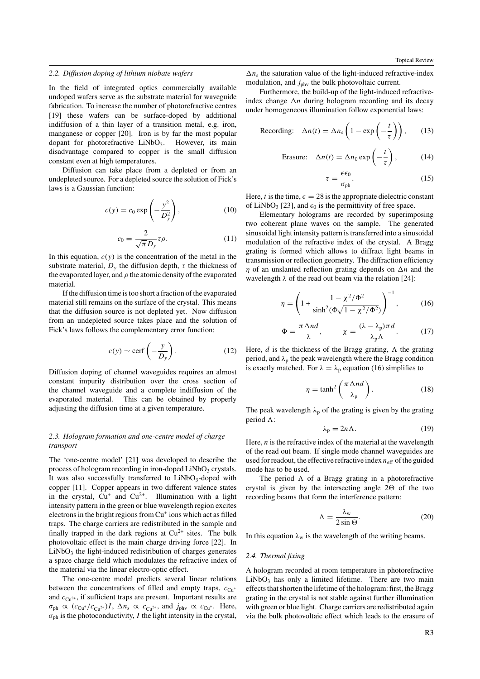#### *2.2. Diffusion doping of lithium niobate wafers*

In the field of integrated optics commercially available undoped wafers serve as the substrate material for waveguide fabrication. To increase the number of photorefractive centres [19] these wafers can be surface-doped by additional indiffusion of a thin layer of a transition metal, e.g. iron, manganese or copper [20]. Iron is by far the most popular dopant for photorefractive  $LiNbO<sub>3</sub>$ . However, its main disadvantage compared to copper is the small diffusion constant even at high temperatures.

Diffusion can take place from a depleted or from an undepleted source. For a depleted source the solution of Fick's laws is a Gaussian function:

$$
c(y) = c_0 \exp\left(-\frac{y^2}{D_y^2}\right),\tag{10}
$$

$$
c_0 = \frac{2}{\sqrt{\pi} D_y} \tau \rho.
$$
 (11)

In this equation,  $c(y)$  is the concentration of the metal in the substrate material,  $D<sub>y</sub>$  the diffusion depth,  $\tau$  the thickness of the evaporated layer, and  $\rho$  the atomic density of the evaporated material.

If the diffusion time is too short a fraction of the evaporated material still remains on the surface of the crystal. This means that the diffusion source is not depleted yet. Now diffusion from an undepleted source takes place and the solution of Fick's laws follows the complementary error function:

$$
c(y) \sim \text{cerf}\left(-\frac{y}{D_y}\right). \tag{12}
$$

Diffusion doping of channel waveguides requires an almost constant impurity distribution over the cross section of the channel waveguide and a complete indiffusion of the evaporated material. This can be obtained by properly adjusting the diffusion time at a given temperature.

#### *2.3. Hologram formation and one-centre model of charge transport*

The 'one-centre model' [21] was developed to describe the process of hologram recording in iron-doped  $LiNbO<sub>3</sub>$  crystals. It was also successfully transferred to  $LiNbO<sub>3</sub>$ -doped with copper [11]. Copper appears in two different valence states in the crystal,  $Cu^+$  and  $Cu^{2+}$ . Illumination with a light intensity pattern in the green or blue wavelength region excites electrons in the bright regions from Cu<sup>+</sup> ions which act as filled traps. The charge carriers are redistributed in the sample and finally trapped in the dark regions at  $Cu^{2+}$  sites. The bulk photovoltaic effect is the main charge driving force [22]. In  $LiNbO<sub>3</sub>$  the light-induced redistribution of charges generates a space charge field which modulates the refractive index of the material via the linear electro-optic effect.

The one-centre model predicts several linear relations between the concentrations of filled and empty traps,  $c_{\text{Cu}^{+}}$ and  $c_{\text{Cu}^{2+}}$ , if sufficient traps are present. Important results are  $\sigma_{ph} \propto (c_{Cu^+}/c_{Cu^{2+}})I$ ,  $\Delta n_s \propto c_{Cu^{2+}}$ , and  $j_{phv} \propto c_{Cu^+}$ . Here,  $\sigma_{\rm ph}$  is the photoconductivity, *I* the light intensity in the crystal,  $\Delta n_s$  the saturation value of the light-induced refractive-index modulation, and *j*<sub>phy</sub> the bulk photovoltaic current.

Furthermore, the build-up of the light-induced refractiveindex change  $\Delta n$  during hologram recording and its decay under homogeneous illumination follow exponential laws:

$$
\text{Recording:} \quad \Delta n(t) = \Delta n_{\text{s}} \left( 1 - \exp\left( -\frac{t}{\tau} \right) \right), \qquad (13)
$$

$$
\text{Erasure:} \quad \Delta n(t) = \Delta n_0 \exp\left(-\frac{t}{\tau}\right), \tag{14}
$$

$$
\tau = \frac{\epsilon \epsilon_0}{\sigma_{\text{ph}}}.\tag{15}
$$

Here, *t* is the time,  $\epsilon = 28$  is the appropriate dielectric constant of LiNbO<sub>3</sub> [23], and  $\epsilon_0$  is the permittivity of free space.

Elementary holograms are recorded by superimposing two coherent plane waves on the sample. The generated sinusoidal light intensity pattern is transferred into a sinusoidal modulation of the refractive index of the crystal. A Bragg grating is formed which allows to diffract light beams in transmission or reflection geometry. The diffraction efficiency *η* of an unslanted reflection grating depends on  $\Delta n$  and the wavelength  $\lambda$  of the read out beam via the relation [24]:

$$
\eta = \left(1 + \frac{1 - \chi^2/\Phi^2}{\sinh^2(\Phi\sqrt{1 - \chi^2/\Phi^2})}\right)^{-1},\tag{16}
$$

$$
\Phi = \frac{\pi \Delta nd}{\lambda}, \qquad \chi = \frac{(\lambda - \lambda_p)\pi d}{\lambda_p \Lambda}.
$$
 (17)

Here,  $d$  is the thickness of the Bragg grating,  $\Lambda$  the grating period, and  $\lambda_p$  the peak wavelength where the Bragg condition is exactly matched. For  $\lambda = \lambda_p$  equation (16) simplifies to

$$
\eta = \tanh^2\left(\frac{\pi \Delta nd}{\lambda_p}\right). \tag{18}
$$

The peak wavelength  $\lambda_p$  of the grating is given by the grating period :

$$
\lambda_p = 2n\Lambda. \tag{19}
$$

Here, *n* is the refractive index of the material at the wavelength of the read out beam. If single mode channel waveguides are used for readout, the effective refractive index  $n_{\text{eff}}$  of the guided mode has to be used.

The period  $\Lambda$  of a Bragg grating in a photorefractive crystal is given by the intersecting angle  $2\Theta$  of the two recording beams that form the interference pattern:

$$
\Lambda = \frac{\lambda_{\rm w}}{2\sin\Theta}.\tag{20}
$$

In this equation  $\lambda_w$  is the wavelength of the writing beams.

#### *2.4. Thermal fixing*

A hologram recorded at room temperature in photorefractive  $LiNbO<sub>3</sub>$  has only a limited lifetime. There are two main effects that shorten the lifetime of the hologram: first, the Bragg grating in the crystal is not stable against further illumination with green or blue light. Charge carriers are redistributed again via the bulk photovoltaic effect which leads to the erasure of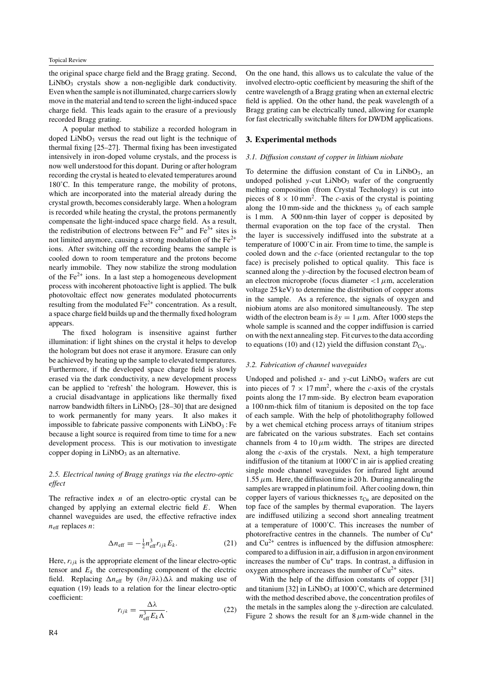the original space charge field and the Bragg grating. Second, LiNbO<sub>3</sub> crystals show a non-negligible dark conductivity. Even when the sample is not illuminated, charge carriers slowly move in the material and tend to screen the light-induced space charge field. This leads again to the erasure of a previously recorded Bragg grating.

A popular method to stabilize a recorded hologram in doped  $LiNbO<sub>3</sub>$  versus the read out light is the technique of thermal fixing [25–27]. Thermal fixing has been investigated intensively in iron-doped volume crystals, and the process is now well understood for this dopant. During or after hologram recording the crystal is heated to elevated temperatures around 180˚C. In this temperature range, the mobility of protons, which are incorporated into the material already during the crystal growth, becomes considerably large. When a hologram is recorded while heating the crystal, the protons permanently compensate the light-induced space charge field. As a result, the redistribution of electrons between  $Fe^{2+}$  and  $Fe^{3+}$  sites is not limited anymore, causing a strong modulation of the  $Fe<sup>2+</sup>$ ions. After switching off the recording beams the sample is cooled down to room temperature and the protons become nearly immobile. They now stabilize the strong modulation of the  $Fe^{2+}$  ions. In a last step a homogeneous development process with incoherent photoactive light is applied. The bulk photovoltaic effect now generates modulated photocurrents resulting from the modulated  $Fe<sup>2+</sup>$  concentration. As a result, a space charge field builds up and the thermally fixed hologram appears.

The fixed hologram is insensitive against further illumination: if light shines on the crystal it helps to develop the hologram but does not erase it anymore. Erasure can only be achieved by heating up the sample to elevated temperatures. Furthermore, if the developed space charge field is slowly erased via the dark conductivity, a new development process can be applied to 'refresh' the hologram. However, this is a crucial disadvantage in applications like thermally fixed narrow bandwidth filters in  $LiNbO<sub>3</sub>$  [28–30] that are designed to work permanently for many years. It also makes it impossible to fabricate passive components with  $LiNbO<sub>3</sub>$ : Fe because a light source is required from time to time for a new development process. This is our motivation to investigate copper doping in  $LiNbO<sub>3</sub>$  as an alternative.

#### *2.5. Electrical tuning of Bragg gratings via the electro-optic effect*

The refractive index *n* of an electro-optic crystal can be changed by applying an external electric field *E*. When channel waveguides are used, the effective refractive index  $n_{\text{eff}}$  replaces *n*:

$$
\Delta n_{\rm eff} = -\frac{1}{2} n_{\rm eff}^3 r_{ijk} E_k. \tag{21}
$$

Here,  $r_{ijk}$  is the appropriate element of the linear electro-optic tensor and  $E_k$  the corresponding component of the electric field. Replacing Δn<sub>eff</sub> by  $(\partial n/\partial \lambda)$ Δλ and making use of equation (19) leads to a relation for the linear electro-optic coefficient:

$$
r_{ijk} = \frac{\Delta\lambda}{n_{\text{eff}}^3 E_k \Lambda}.
$$
 (22)

On the one hand, this allows us to calculate the value of the involved electro-optic coefficient by measuring the shift of the centre wavelength of a Bragg grating when an external electric field is applied. On the other hand, the peak wavelength of a Bragg grating can be electrically tuned, allowing for example for fast electrically switchable filters for DWDM applications.

#### **3. Experimental methods**

#### *3.1. Diffusion constant of copper in lithium niobate*

To determine the diffusion constant of Cu in  $LiNbO<sub>3</sub>$ , an undoped polished  $y$ -cut LiNbO<sub>3</sub> wafer of the congruently melting composition (from Crystal Technology) is cut into pieces of  $8 \times 10 \text{ mm}^2$ . The *c*-axis of the crystal is pointing along the 10 mm-side and the thickness  $y_0$  of each sample is 1 mm. A 500 nm-thin layer of copper is deposited by thermal evaporation on the top face of the crystal. Then the layer is successively indiffused into the substrate at a temperature of 1000˚C in air. From time to time, the sample is cooled down and the *c*-face (oriented rectangular to the top face) is precisely polished to optical quality. This face is scanned along the *y*-direction by the focused electron beam of an electron microprobe (focus diameter  $\langle 1 \mu m \rangle$ , acceleration voltage 25 keV) to determine the distribution of copper atoms in the sample. As a reference, the signals of oxygen and niobium atoms are also monitored simultaneously. The step width of the electron beam is  $\delta y = 1 \mu m$ . After 1000 steps the whole sample is scanned and the copper indiffusion is carried on with the next annealing step. Fit curves to the data according to equations (10) and (12) yield the diffusion constant  $\mathcal{D}_{Cu}$ .

#### *3.2. Fabrication of channel waveguides*

Undoped and polished  $x$ - and  $y$ -cut LiNbO<sub>3</sub> wafers are cut into pieces of  $7 \times 17$  mm<sup>2</sup>, where the *c*-axis of the crystals points along the 17 mm-side. By electron beam evaporation a 100 nm-thick film of titanium is deposited on the top face of each sample. With the help of photolithography followed by a wet chemical etching process arrays of titanium stripes are fabricated on the various substrates. Each set contains channels from 4 to  $10 \mu m$  width. The stripes are directed along the *c*-axis of the crystals. Next, a high temperature indiffusion of the titanium at 1000˚C in air is applied creating single mode channel waveguides for infrared light around 1.55  $\mu$ m. Here, the diffusion time is 20 h. During annealing the samples are wrapped in platinum foil. After cooling down, thin copper layers of various thicknesses  $\tau_{Cu}$  are deposited on the top face of the samples by thermal evaporation. The layers are indiffused utilizing a second short annealing treatment at a temperature of 1000˚C. This increases the number of photorefractive centres in the channels. The number of Cu<sup>+</sup> and  $Cu<sup>2+</sup>$  centres is influenced by the diffusion atmosphere: compared to a diffusion in air, a diffusion in argon environment increases the number of Cu<sup>+</sup> traps. In contrast, a diffusion in oxygen atmosphere increases the number of  $Cu<sup>2+</sup>$  sites.

With the help of the diffusion constants of copper [31] and titanium [32] in  $LiNbO<sub>3</sub>$  at 1000 $^{\circ}$ C, which are determined with the method described above, the concentration profiles of the metals in the samples along the *y*-direction are calculated. Figure 2 shows the result for an 8*µ*m-wide channel in the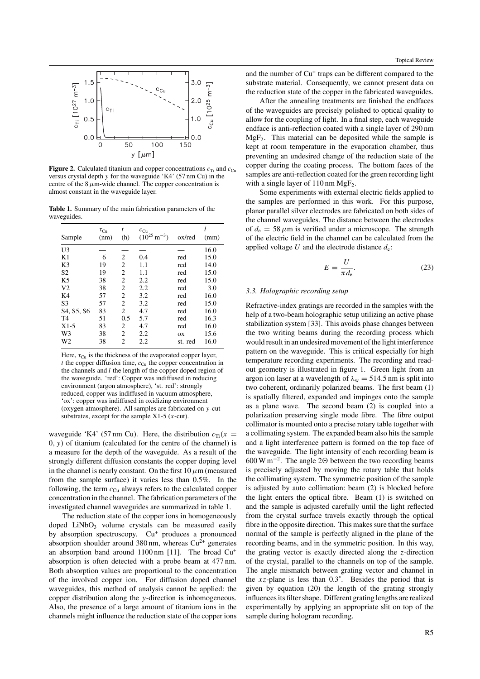

**Figure 2.** Calculated titanium and copper concentrations  $c_{\text{Ti}}$  and  $c_{\text{Cu}}$ versus crystal depth *y* for the waveguide 'K4' (57 nm Cu) in the centre of the  $8 \mu$ m-wide channel. The copper concentration is almost constant in the waveguide layer.

**Table 1.** Summary of the main fabrication parameters of the waveguides.

| Sample         | $\tau_{\rm Cu}$<br>(nm) | t<br>(h)       | $c_{\text{Cu}}$<br>$(10^{25} \text{ m}^{-3})$ | ox/red  | (mm) |
|----------------|-------------------------|----------------|-----------------------------------------------|---------|------|
| U3             |                         |                |                                               |         | 16.0 |
| K1             | 6                       | 2              | 0.4                                           | red     | 15.0 |
| K3             | 19                      | $\overline{c}$ | 1.1                                           | red     | 14.0 |
| S <sub>2</sub> | 19                      | $\overline{c}$ | 1.1                                           | red     | 15.0 |
| K <sub>5</sub> | 38                      | $\overline{c}$ | 2.2                                           | red     | 15.0 |
| V <sub>2</sub> | 38                      | $\overline{c}$ | 2.2                                           | red     | 3.0  |
| K4             | 57                      | $\overline{c}$ | 3.2                                           | red     | 16.0 |
| S <sub>3</sub> | 57                      | $\overline{c}$ | 3.2                                           | red     | 15.0 |
| S4, S5, S6     | 83                      | $\overline{c}$ | 4.7                                           | red     | 16.0 |
| T <sub>4</sub> | 51                      | 0.5            | 5.7                                           | red     | 16.3 |
| $X1-5$         | 83                      | 2              | 4.7                                           | red     | 16.0 |
| W <sub>3</sub> | 38                      | $\mathfrak{D}$ | 2.2                                           | OX      | 15.6 |
| W2             | 38                      | $\overline{c}$ | 2.2                                           | st. red | 16.0 |

Here,  $\tau_{Cu}$  is the thickness of the evaporated copper layer,  $t$  the copper diffusion time,  $c_{Cu}$  the copper concentration in the channels and *l* the length of the copper doped region of the waveguide. 'red': Copper was indiffused in reducing environment (argon atmosphere), 'st. red': strongly reduced, copper was indiffused in vacuum atmosphere, 'ox': copper was indiffused in oxidizing environment (oxygen atmosphere). All samples are fabricated on *y*-cut substrates, except for the sample X1-5 (*x*-cut).

waveguide 'K4' (57 nm Cu). Here, the distribution  $c_{\text{Ti}}(x)$ 0*, y)* of titanium (calculated for the centre of the channel) is a measure for the depth of the waveguide. As a result of the strongly different diffusion constants the copper doping level in the channel is nearly constant. On the first  $10 \mu$ m (measured from the sample surface) it varies less than 0.5%. In the following, the term  $c_{\text{Cu}}$  always refers to the calculated copper concentration in the channel. The fabrication parameters of the investigated channel waveguides are summarized in table 1.

The reduction state of the copper ions in homogeneously doped  $LiNbO<sub>3</sub>$  volume crystals can be measured easily by absorption spectroscopy.  $Cu^{+}$  produces a pronounced absorption shoulder around 380 nm, whereas  $Cu^{2+}$  generates an absorption band around 1100 nm [11]. The broad Cu<sup>+</sup> absorption is often detected with a probe beam at 477 nm. Both absorption values are proportional to the concentration of the involved copper ion. For diffusion doped channel waveguides, this method of analysis cannot be applied: the copper distribution along the *y*-direction is inhomogeneous. Also, the presence of a large amount of titanium ions in the channels might influence the reduction state of the copper ions and the number of Cu<sup>+</sup> traps can be different compared to the substrate material. Consequently, we cannot present data on the reduction state of the copper in the fabricated waveguides.

After the annealing treatments are finished the endfaces of the waveguides are precisely polished to optical quality to allow for the coupling of light. In a final step, each waveguide endface is anti-reflection coated with a single layer of 290 nm  $MgF<sub>2</sub>$ . This material can be deposited while the sample is kept at room temperature in the evaporation chamber, thus preventing an undesired change of the reduction state of the copper during the coating process. The bottom faces of the samples are anti-reflection coated for the green recording light with a single layer of  $110 \text{ nm MgF}_2$ .

Some experiments with external electric fields applied to the samples are performed in this work. For this purpose, planar parallel silver electrodes are fabricated on both sides of the channel waveguides. The distance between the electrodes of  $d_e = 58 \mu m$  is verified under a microscope. The strength of the electric field in the channel can be calculated from the applied voltage  $U$  and the electrode distance  $d_e$ :

$$
E = \frac{U}{\pi d_{\rm e}}.\tag{23}
$$

#### *3.3. Holographic recording setup*

Refractive-index gratings are recorded in the samples with the help of a two-beam holographic setup utilizing an active phase stabilization system [33]. This avoids phase changes between the two writing beams during the recording process which would result in an undesired movement of the light interference pattern on the waveguide. This is critical especially for high temperature recording experiments. The recording and readout geometry is illustrated in figure 1. Green light from an argon ion laser at a wavelength of  $\lambda_w = 514.5$  nm is split into two coherent, ordinarily polarized beams. The first beam (1) is spatially filtered, expanded and impinges onto the sample as a plane wave. The second beam (2) is coupled into a polarization preserving single mode fibre. The fibre output collimator is mounted onto a precise rotary table together with a collimating system. The expanded beam also hits the sample and a light interference pattern is formed on the top face of the waveguide. The light intensity of each recording beam is 600 W m<sup>-2</sup>. The angle 2 $\Theta$  between the two recording beams is precisely adjusted by moving the rotary table that holds the collimating system. The symmetric position of the sample is adjusted by auto collimation: beam (2) is blocked before the light enters the optical fibre. Beam (1) is switched on and the sample is adjusted carefully until the light reflected from the crystal surface travels exactly through the optical fibre in the opposite direction. This makes sure that the surface normal of the sample is perfectly aligned in the plane of the recording beams, and in the symmetric position. In this way, the grating vector is exactly directed along the *z*-direction of the crystal, parallel to the channels on top of the sample. The angle mismatch between grating vector and channel in the  $xz$ -plane is less than  $0.3^\circ$ . Besides the period that is given by equation (20) the length of the grating strongly influences its filter shape. Different grating lengths are realized experimentally by applying an appropriate slit on top of the sample during hologram recording.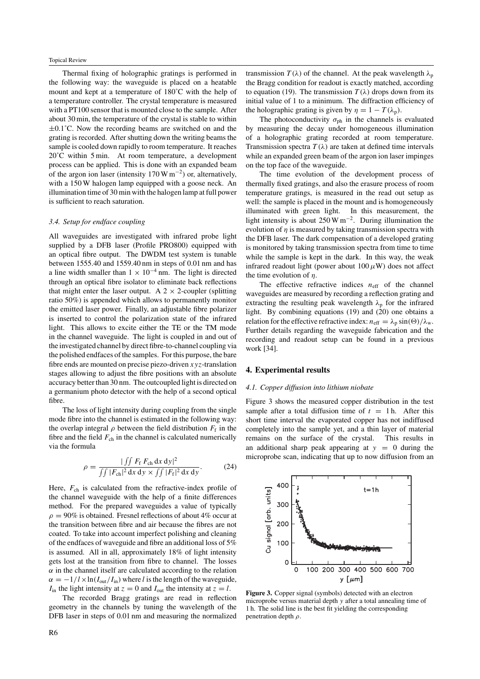Thermal fixing of holographic gratings is performed in the following way: the waveguide is placed on a heatable mount and kept at a temperature of 180˚C with the help of a temperature controller. The crystal temperature is measured with a PT100 sensor that is mounted close to the sample. After about 30 min, the temperature of the crystal is stable to within  $\pm 0.1^{\circ}$ C. Now the recording beams are switched on and the grating is recorded. After shutting down the writing beams the sample is cooled down rapidly to room temperature. It reaches 20˚C within 5 min. At room temperature, a development process can be applied. This is done with an expanded beam of the argon ion laser (intensity 170 W m−2) or, alternatively, with a 150 W halogen lamp equipped with a goose neck. An illumination time of 30 min with the halogen lamp at full power is sufficient to reach saturation.

#### *3.4. Setup for endface coupling*

All waveguides are investigated with infrared probe light supplied by a DFB laser (Profile PRO800) equipped with an optical fibre output. The DWDM test system is tunable between 1555.40 and 1559.40 nm in steps of 0.01 nm and has a line width smaller than  $1 \times 10^{-4}$  nm. The light is directed through an optical fibre isolator to eliminate back reflections that might enter the laser output. A  $2 \times 2$ -coupler (splitting ratio 50%) is appended which allows to permanently monitor the emitted laser power. Finally, an adjustable fibre polarizer is inserted to control the polarization state of the infrared light. This allows to excite either the TE or the TM mode in the channel waveguide. The light is coupled in and out of the investigated channel by direct fibre-to-channel coupling via the polished endfaces of the samples. For this purpose, the bare fibre ends are mounted on precise piezo-driven *xyz*-translation stages allowing to adjust the fibre positions with an absolute accuracy better than 30 nm. The outcoupled light is directed on a germanium photo detector with the help of a second optical fibre.

The loss of light intensity during coupling from the single mode fibre into the channel is estimated in the following way: the overlap integral  $\rho$  between the field distribution  $F_f$  in the fibre and the field  $F_{ch}$  in the channel is calculated numerically via the formula

$$
\rho = \frac{| \iint F_{\rm f} F_{\rm ch} \, \mathrm{d}x \, \mathrm{d}y|^2}{\iint |F_{\rm ch}|^2 \, \mathrm{d}x \, \mathrm{d}y \times \iint |F_{\rm f}|^2 \, \mathrm{d}x \, \mathrm{d}y}.
$$
 (24)

Here,  $F_{ch}$  is calculated from the refractive-index profile of the channel waveguide with the help of a finite differences method. For the prepared waveguides a value of typically  $\rho = 90\%$  is obtained. Fresnel reflections of about 4% occur at the transition between fibre and air because the fibres are not coated. To take into account imperfect polishing and cleaning of the endfaces of waveguide and fibre an additional loss of 5% is assumed. All in all, approximately 18% of light intensity gets lost at the transition from fibre to channel. The losses  $\alpha$  in the channel itself are calculated according to the relation  $\alpha = -1/l \times ln(I_{out}/I_{in})$  where *l* is the length of the waveguide, *I*<sub>in</sub> the light intensity at  $z = 0$  and *I*<sub>out</sub> the intensity at  $z = l$ .

The recorded Bragg gratings are read in reflection geometry in the channels by tuning the wavelength of the DFB laser in steps of 0.01 nm and measuring the normalized transmission  $T(\lambda)$  of the channel. At the peak wavelength  $\lambda_p$ the Bragg condition for readout is exactly matched, according to equation (19). The transmission  $T(\lambda)$  drops down from its initial value of 1 to a minimum. The diffraction efficiency of the holographic grating is given by  $\eta = 1 - T(\lambda_p)$ .

The photoconductivity  $\sigma_{ph}$  in the channels is evaluated by measuring the decay under homogeneous illumination of a holographic grating recorded at room temperature. Transmission spectra  $T(\lambda)$  are taken at defined time intervals while an expanded green beam of the argon ion laser impinges on the top face of the waveguide.

The time evolution of the development process of thermally fixed gratings, and also the erasure process of room temperature gratings, is measured in the read out setup as well: the sample is placed in the mount and is homogeneously illuminated with green light. In this measurement, the light intensity is about  $250 \,\mathrm{W m}^{-2}$ . During illumination the evolution of *η* is measured by taking transmission spectra with the DFB laser. The dark compensation of a developed grating is monitored by taking transmission spectra from time to time while the sample is kept in the dark. In this way, the weak infrared readout light (power about  $100 \mu$ W) does not affect the time evolution of *η*.

The effective refractive indices  $n_{\text{eff}}$  of the channel waveguides are measured by recording a reflection grating and extracting the resulting peak wavelength  $\lambda_p$  for the infrared light. By combining equations (19) and (20) one obtains a relation for the effective refractive index:  $n_{\text{eff}} = \lambda_p \sin(\Theta)/\lambda_w$ . Further details regarding the waveguide fabrication and the recording and readout setup can be found in a previous work [34].

#### **4. Experimental results**

#### *4.1. Copper diffusion into lithium niobate*

Figure 3 shows the measured copper distribution in the test sample after a total diffusion time of  $t = 1$  h. After this short time interval the evaporated copper has not indiffused completely into the sample yet, and a thin layer of material remains on the surface of the crystal. This results in an additional sharp peak appearing at  $y = 0$  during the microprobe scan, indicating that up to now diffusion from an



**Figure 3.** Copper signal (symbols) detected with an electron microprobe versus material depth *y* after a total annealing time of 1 h. The solid line is the best fit yielding the corresponding penetration depth *ρ*.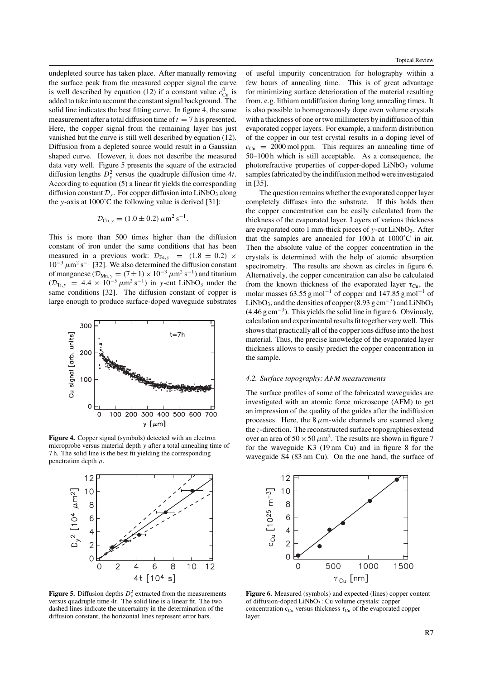undepleted source has taken place. After manually removing the surface peak from the measured copper signal the curve is well described by equation (12) if a constant value  $c_{\text{Cu}}^0$  is added to take into account the constant signal background. The solid line indicates the best fitting curve. In figure 4, the same measurement after a total diffusion time of  $t = 7$  h is presented. Here, the copper signal from the remaining layer has just vanished but the curve is still well described by equation (12). Diffusion from a depleted source would result in a Gaussian shaped curve. However, it does not describe the measured data very well. Figure 5 presents the square of the extracted diffusion lengths  $D_y^2$  versus the quadruple diffusion time 4*t*. According to equation (5) a linear fit yields the corresponding diffusion constant  $\mathcal{D}_y$ . For copper diffusion into LiNbO<sub>3</sub> along the *y*-axis at 1000˚C the following value is derived [31]:

$$
\mathcal{D}_{\text{Cu},y} = (1.0 \pm 0.2) \,\mu\text{m}^2\,\text{s}^{-1}.
$$

This is more than 500 times higher than the diffusion constant of iron under the same conditions that has been measured in a previous work:  $\mathcal{D}_{Fe, y}$  =  $(1.8 \pm 0.2) \times$  $10^{-3} \mu m^2 s^{-1}$  [32]. We also determined the diffusion constant of manganese ( $\mathcal{D}_{Mn,y} = (7 \pm 1) \times 10^{-3} \ \mu \text{m}^2 \text{ s}^{-1}$ ) and titanium  $(D_{\text{Ti. v}} = 4.4 \times 10^{-5} \mu \text{m}^2 \text{ s}^{-1})$  in y-cut LiNbO<sub>3</sub> under the same conditions [32]. The diffusion constant of copper is large enough to produce surface-doped waveguide substrates



**Figure 4.** Copper signal (symbols) detected with an electron microprobe versus material depth *y* after a total annealing time of 7 h. The solid line is the best fit yielding the corresponding penetration depth *ρ*.



**Figure 5.** Diffusion depths  $D_y^2$  extracted from the measurements versus quadruple time 4*t*. The solid line is a linear fit. The two dashed lines indicate the uncertainty in the determination of the diffusion constant, the horizontal lines represent error bars.

of useful impurity concentration for holography within a few hours of annealing time. This is of great advantage for minimizing surface deterioration of the material resulting from, e.g. lithium outdiffusion during long annealing times. It is also possible to homogeneously dope even volume crystals with a thickness of one or two millimeters by indiffusion of thin evaporated copper layers. For example, a uniform distribution of the copper in our test crystal results in a doping level of  $c_{\text{Cu}} = 2000 \text{ mol ppm}$ . This requires an annealing time of 50–100 h which is still acceptable. As a consequence, the photorefractive properties of copper-doped  $LiNbO<sub>3</sub>$  volume samples fabricated by the indiffusion method were investigated in [35].

The question remains whether the evaporated copper layer completely diffuses into the substrate. If this holds then the copper concentration can be easily calculated from the thickness of the evaporated layer. Layers of various thickness are evaporated onto 1 mm-thick pieces of *y*-cut LiNbO<sub>3</sub>. After that the samples are annealed for  $100h$  at  $1000^{\circ}$ C in air. Then the absolute value of the copper concentration in the crystals is determined with the help of atomic absorption spectrometry. The results are shown as circles in figure 6. Alternatively, the copper concentration can also be calculated from the known thickness of the evaporated layer  $\tau_{\text{Cu}}$ , the molar masses 63.55 g mol<sup>-1</sup> of copper and 147.85 g mol<sup>-1</sup> of LiNbO<sub>3</sub>, and the densities of copper (8.93 g cm<sup>-3</sup>) and LiNbO<sub>3</sub> (4.46 g cm−3). This yields the solid line in figure 6. Obviously, calculation and experimental results fit together very well. This shows that practically all of the copper ions diffuse into the host material. Thus, the precise knowledge of the evaporated layer thickness allows to easily predict the copper concentration in the sample.

#### *4.2. Surface topography: AFM measurements*

The surface profiles of some of the fabricated waveguides are investigated with an atomic force microscope (AFM) to get an impression of the quality of the guides after the indiffusion processes. Here, the  $8 \mu$ m-wide channels are scanned along the *z*-direction. The reconstructed surface topographies extend over an area of  $50 \times 50 \mu m^2$ . The results are shown in figure 7 for the waveguide K3 (19 nm Cu) and in figure 8 for the waveguide S4 (83 nm Cu). On the one hand, the surface of



**Figure 6.** Measured (symbols) and expected (lines) copper content of diffusion-doped  $LiNbO<sub>3</sub>$ : Cu volume crystals: copper concentration  $c_{\text{Cu}}$  versus thickness  $\tau_{\text{Cu}}$  of the evaporated copper layer.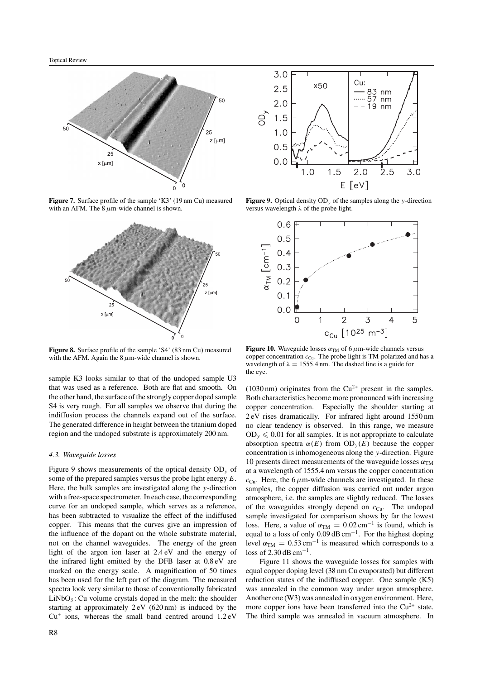

**Figure 7.** Surface profile of the sample 'K3' (19 nm Cu) measured with an AFM. The 8  $\mu$ m-wide channel is shown.



**Figure 8.** Surface profile of the sample 'S4' (83 nm Cu) measured with the AFM. Again the  $8 \mu$ m-wide channel is shown.

sample K3 looks similar to that of the undoped sample U3 that was used as a reference. Both are flat and smooth. On the other hand, the surface of the strongly copper doped sample S4 is very rough. For all samples we observe that during the indiffusion process the channels expand out of the surface. The generated difference in height between the titanium doped region and the undoped substrate is approximately 200 nm.

#### *4.3. Waveguide losses*

Figure 9 shows measurements of the optical density OD*<sup>y</sup>* of some of the prepared samples versus the probe light energy *E*. Here, the bulk samples are investigated along the *y*-direction with a free-space spectrometer. In each case, the corresponding curve for an undoped sample, which serves as a reference, has been subtracted to visualize the effect of the indiffused copper. This means that the curves give an impression of the influence of the dopant on the whole substrate material, not on the channel waveguides. The energy of the green light of the argon ion laser at 2.4 eV and the energy of the infrared light emitted by the DFB laser at 0.8 eV are marked on the energy scale. A magnification of 50 times has been used for the left part of the diagram. The measured spectra look very similar to those of conventionally fabricated  $LiNbO<sub>3</sub>$ : Cu volume crystals doped in the melt: the shoulder starting at approximately 2 eV (620 nm) is induced by the  $Cu<sup>+</sup>$  ions, whereas the small band centred around  $1.2 \text{ eV}$ 



**Figure 9.** Optical density OD*<sup>y</sup>* of the samples along the *y*-direction versus wavelength *λ* of the probe light.



**Figure 10.** Waveguide losses  $\alpha_{TM}$  of 6  $\mu$ m-wide channels versus copper concentration  $c_{\text{Cu}}$ . The probe light is TM-polarized and has a wavelength of  $\lambda = 1555.4$  nm. The dashed line is a guide for the eye.

(1030 nm) originates from the  $Cu^{2+}$  present in the samples. Both characteristics become more pronounced with increasing copper concentration. Especially the shoulder starting at 2 eV rises dramatically. For infrared light around 1550 nm no clear tendency is observed. In this range, we measure  $OD_v \leq 0.01$  for all samples. It is not appropriate to calculate absorption spectra  $\alpha(E)$  from  $OD_v(E)$  because the copper concentration is inhomogeneous along the *y*-direction. Figure 10 presents direct measurements of the waveguide losses  $\alpha_{TM}$ at a wavelength of 1555.4 nm versus the copper concentration  $c_{\text{Cu}}$ . Here, the 6  $\mu$ m-wide channels are investigated. In these samples, the copper diffusion was carried out under argon atmosphere, i.e. the samples are slightly reduced. The losses of the waveguides strongly depend on  $c_{Cu}$ . The undoped sample investigated for comparison shows by far the lowest loss. Here, a value of  $\alpha_{TM} = 0.02 \text{ cm}^{-1}$  is found, which is equal to a loss of only 0.09 dB cm−1. For the highest doping level  $\alpha_{TM} = 0.53 \text{ cm}^{-1}$  is measured which corresponds to a loss of 2.30 dB cm<sup>-1</sup>.

Figure 11 shows the waveguide losses for samples with equal copper doping level (38 nm Cu evaporated) but different reduction states of the indiffused copper. One sample (K5) was annealed in the common way under argon atmosphere. Another one (W3) was annealed in oxygen environment. Here, more copper ions have been transferred into the  $Cu^{2+}$  state. The third sample was annealed in vacuum atmosphere. In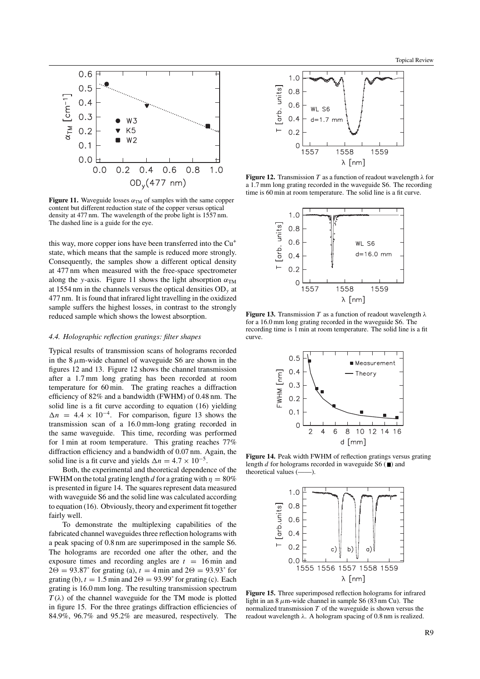

**Figure 11.** Waveguide losses  $\alpha_{TM}$  of samples with the same copper content but different reduction state of the copper versus optical density at 477 nm. The wavelength of the probe light is 1557 nm. The dashed line is a guide for the eye.

this way, more copper ions have been transferred into the Cu<sup>+</sup> state, which means that the sample is reduced more strongly. Consequently, the samples show a different optical density at 477 nm when measured with the free-space spectrometer along the *y*-axis. Figure 11 shows the light absorption  $\alpha_{TM}$ at 1554 nm in the channels versus the optical densities OD*<sup>y</sup>* at 477 nm. It is found that infrared light travelling in the oxidized sample suffers the highest losses, in contrast to the strongly reduced sample which shows the lowest absorption.

#### *4.4. Holographic reflection gratings: filter shapes*

Typical results of transmission scans of holograms recorded in the  $8 \mu$ m-wide channel of waveguide S6 are shown in the figures 12 and 13. Figure 12 shows the channel transmission after a 1.7 mm long grating has been recorded at room temperature for 60 min. The grating reaches a diffraction efficiency of 82% and a bandwidth (FWHM) of 0.48 nm. The solid line is a fit curve according to equation (16) yielding  $\Delta n = 4.4 \times 10^{-4}$ . For comparison, figure 13 shows the transmission scan of a 16.0 mm-long grating recorded in the same waveguide. This time, recording was performed for 1 min at room temperature. This grating reaches 77% diffraction efficiency and a bandwidth of 0.07 nm. Again, the solid line is a fit curve and yields  $\Delta n = 4.7 \times 10^{-5}$ .

Both, the experimental and theoretical dependence of the FWHM on the total grating length *d* for a grating with  $\eta = 80\%$ is presented in figure 14. The squares represent data measured with waveguide S6 and the solid line was calculated according to equation (16). Obviously, theory and experiment fit together fairly well.

To demonstrate the multiplexing capabilities of the fabricated channel waveguides three reflection holograms with a peak spacing of 0.8 nm are superimposed in the sample S6. The holograms are recorded one after the other, and the exposure times and recording angles are  $t = 16$  min and  $2\Theta = 93.87$ ° for grating (a),  $t = 4$  min and  $2\Theta = 93.93$ ° for grating (b),  $t = 1.5$  min and  $2\Theta = 93.99^{\circ}$  for grating (c). Each grating is 16.0 mm long. The resulting transmission spectrum  $T(\lambda)$  of the channel waveguide for the TM mode is plotted in figure 15. For the three gratings diffraction efficiencies of 84.9%, 96.7% and 95.2% are measured, respectively. The



**Figure 12.** Transmission *T* as a function of readout wavelength  $\lambda$  for a 1.7 mm long grating recorded in the waveguide S6. The recording time is 60 min at room temperature. The solid line is a fit curve.



**Figure 13.** Transmission *T* as a function of readout wavelength *λ* for a 16.0 mm long grating recorded in the waveguide S6. The recording time is 1 min at room temperature. The solid line is a fit curve.



**Figure 14.** Peak width FWHM of reflection gratings versus grating length  $d$  for holograms recorded in waveguide S6  $(\blacksquare)$  and theoretical values (——).



**Figure 15.** Three superimposed reflection holograms for infrared light in an 8*µ*m-wide channel in sample S6 (83 nm Cu). The normalized transmission *T* of the waveguide is shown versus the readout wavelength *λ*. A hologram spacing of 0.8 nm is realized.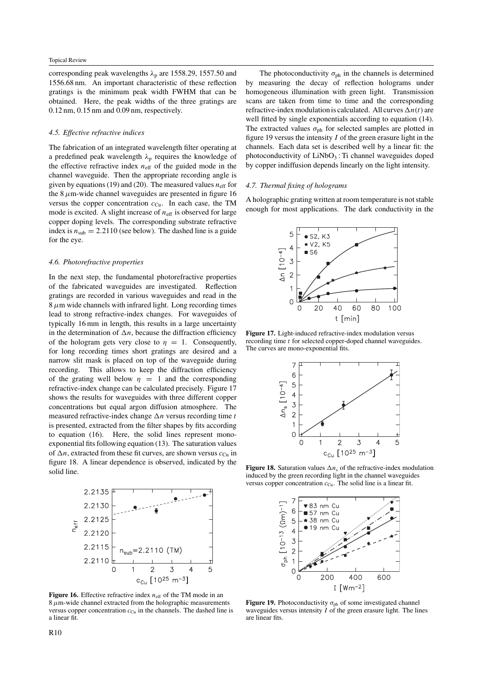corresponding peak wavelengths *λ*<sup>p</sup> are 1558.29, 1557.50 and 1556.68 nm. An important characteristic of these reflection gratings is the minimum peak width FWHM that can be obtained. Here, the peak widths of the three gratings are 0.12 nm, 0.15 nm and 0.09 nm, respectively.

#### *4.5. Effective refractive indices*

The fabrication of an integrated wavelength filter operating at a predefined peak wavelength *λ*<sup>p</sup> requires the knowledge of the effective refractive index  $n_{\text{eff}}$  of the guided mode in the channel waveguide. Then the appropriate recording angle is given by equations (19) and (20). The measured values  $n_{\text{eff}}$  for the  $8 \mu$ m-wide channel waveguides are presented in figure 16 versus the copper concentration  $c_{Cu}$ . In each case, the TM mode is excited. A slight increase of  $n_{\text{eff}}$  is observed for large copper doping levels. The corresponding substrate refractive index is  $n_{sub} = 2.2110$  (see below). The dashed line is a guide for the eye.

#### *4.6. Photorefractive properties*

In the next step, the fundamental photorefractive properties of the fabricated waveguides are investigated. Reflection gratings are recorded in various waveguides and read in the  $8 \mu$ m wide channels with infrared light. Long recording times lead to strong refractive-index changes. For waveguides of typically 16 mm in length, this results in a large uncertainty in the determination of  $\Delta n$ , because the diffraction efficiency of the hologram gets very close to  $\eta = 1$ . Consequently, for long recording times short gratings are desired and a narrow slit mask is placed on top of the waveguide during recording. This allows to keep the diffraction efficiency of the grating well below  $\eta = 1$  and the corresponding refractive-index change can be calculated precisely. Figure 17 shows the results for waveguides with three different copper concentrations but equal argon diffusion atmosphere. The measured refractive-index change  $\Delta n$  versus recording time *t* is presented, extracted from the filter shapes by fits according to equation (16). Here, the solid lines represent monoexponential fits following equation (13). The saturation values of  $\Delta n$ , extracted from these fit curves, are shown versus  $c_{\text{Cu}}$  in figure 18. A linear dependence is observed, indicated by the solid line.



**Figure 16.** Effective refractive index  $n_{\text{eff}}$  of the TM mode in an  $8 \mu$ m-wide channel extracted from the holographic measurements versus copper concentration  $c_{Cu}$  in the channels. The dashed line is a linear fit.

The photoconductivity  $\sigma_{ph}$  in the channels is determined by measuring the decay of reflection holograms under homogeneous illumination with green light. Transmission scans are taken from time to time and the corresponding refractive-index modulation is calculated. All curves  $\Delta n(t)$  are well fitted by single exponentials according to equation (14). The extracted values  $\sigma_{ph}$  for selected samples are plotted in figure 19 versus the intensity *I* of the green erasure light in the channels. Each data set is described well by a linear fit: the photoconductivity of  $LiNbO<sub>3</sub>$ : Ti channel waveguides doped by copper indiffusion depends linearly on the light intensity.

#### *4.7. Thermal fixing of holograms*

A holographic grating written at room temperature is not stable enough for most applications. The dark conductivity in the



**Figure 17.** Light-induced refractive-index modulation versus recording time *t* for selected copper-doped channel waveguides. The curves are mono-exponential fits.



**Figure 18.** Saturation values  $\Delta n_s$  of the refractive-index modulation induced by the green recording light in the channel waveguides versus copper concentration  $c_{Cu}$ . The solid line is a linear fit.



**Figure 19.** Photoconductivity  $\sigma_{ph}$  of some investigated channel waveguides versus intensity *I* of the green erasure light. The lines are linear fits.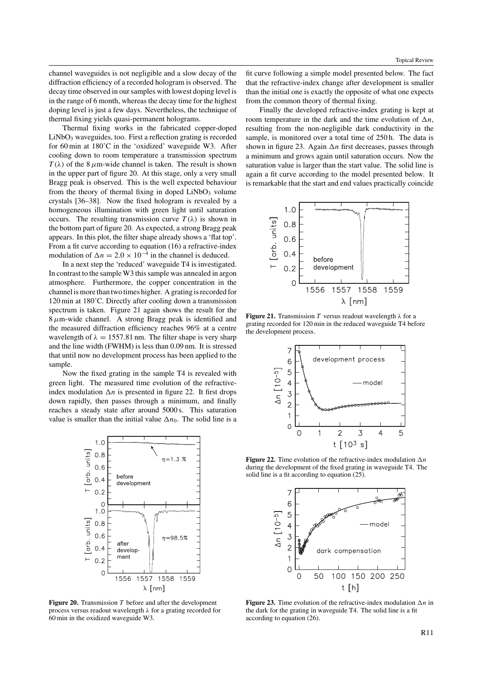channel waveguides is not negligible and a slow decay of the diffraction efficiency of a recorded hologram is observed. The decay time observed in our samples with lowest doping level is in the range of 6 month, whereas the decay time for the highest doping level is just a few days. Nevertheless, the technique of thermal fixing yields quasi-permanent holograms.

Thermal fixing works in the fabricated copper-doped  $LiNbO<sub>3</sub>$  waveguides, too. First a reflection grating is recorded for 60 min at 180˚C in the 'oxidized' waveguide W3. After cooling down to room temperature a transmission spectrum  $T(\lambda)$  of the 8  $\mu$ m-wide channel is taken. The result is shown in the upper part of figure 20. At this stage, only a very small Bragg peak is observed. This is the well expected behaviour from the theory of thermal fixing in doped  $LiNbO<sub>3</sub>$  volume crystals [36–38]. Now the fixed hologram is revealed by a homogeneous illumination with green light until saturation occurs. The resulting transmission curve  $T(\lambda)$  is shown in the bottom part of figure 20. As expected, a strong Bragg peak appears. In this plot, the filter shape already shows a 'flat top'. From a fit curve according to equation (16) a refractive-index modulation of  $\Delta n = 2.0 \times 10^{-4}$  in the channel is deduced.

In a next step the 'reduced' waveguide T4 is investigated. In contrast to the sample W3 this sample was annealed in argon atmosphere. Furthermore, the copper concentration in the channel is more than two times higher. A grating is recorded for 120 min at 180˚C. Directly after cooling down a transmission spectrum is taken. Figure 21 again shows the result for the 8*µ*m-wide channel. A strong Bragg peak is identified and the measured diffraction efficiency reaches 96% at a centre wavelength of  $\lambda = 1557.81$  nm. The filter shape is very sharp and the line width (FWHM) is less than 0.09 nm. It is stressed that until now no development process has been applied to the sample.

Now the fixed grating in the sample T4 is revealed with green light. The measured time evolution of the refractiveindex modulation  $\Delta n$  is presented in figure 22. It first drops down rapidly, then passes through a minimum, and finally reaches a steady state after around 5000 s. This saturation value is smaller than the initial value  $\Delta n_0$ . The solid line is a



**Figure 20.** Transmission *T* before and after the development process versus readout wavelength *λ* for a grating recorded for 60 min in the oxidized waveguide W3.

fit curve following a simple model presented below. The fact that the refractive-index change after development is smaller than the initial one is exactly the opposite of what one expects from the common theory of thermal fixing.

Finally the developed refractive-index grating is kept at room temperature in the dark and the time evolution of  $\Delta n$ , resulting from the non-negligible dark conductivity in the sample, is monitored over a total time of 250 h. The data is shown in figure 23. Again  $\Delta n$  first decreases, passes through a minimum and grows again until saturation occurs. Now the saturation value is larger than the start value. The solid line is again a fit curve according to the model presented below. It is remarkable that the start and end values practically coincide



**Figure 21.** Transmission *T* versus readout wavelength *λ* for a grating recorded for 120 min in the reduced waveguide T4 before the development process.



**Figure 22.** Time evolution of the refractive-index modulation  $\Delta n$ during the development of the fixed grating in waveguide T4. The solid line is a fit according to equation (25).



**Figure 23.** Time evolution of the refractive-index modulation  $\Delta n$  in the dark for the grating in waveguide T4. The solid line is a fit according to equation (26).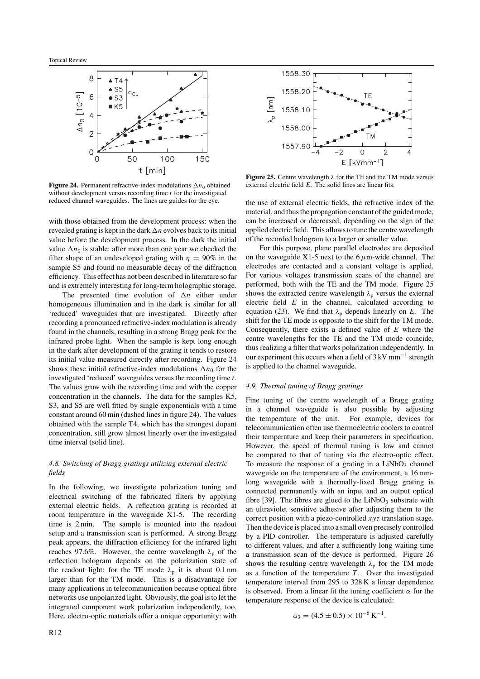

**Figure 24.** Permanent refractive-index modulations  $\Delta n_0$  obtained without development versus recording time *t* for the investigated reduced channel waveguides. The lines are guides for the eye.

with those obtained from the development process: when the revealed grating is kept in the dark  $\Delta n$  evolves back to its initial value before the development process. In the dark the initial value  $\Delta n_0$  is stable: after more than one year we checked the filter shape of an undeveloped grating with  $\eta = 90\%$  in the sample S5 and found no measurable decay of the diffraction efficiency. This effect has not been described in literature so far and is extremely interesting for long-term holographic storage.

The presented time evolution of  $\Delta n$  either under homogeneous illumination and in the dark is similar for all 'reduced' waveguides that are investigated. Directly after recording a pronounced refractive-index modulation is already found in the channels, resulting in a strong Bragg peak for the infrared probe light. When the sample is kept long enough in the dark after development of the grating it tends to restore its initial value measured directly after recording. Figure 24 shows these initial refractive-index modulations  $\Delta n_0$  for the investigated 'reduced' waveguides versus the recording time *t*. The values grow with the recording time and with the copper concentration in the channels. The data for the samples K5, S3, and S5 are well fitted by single exponentials with a time constant around 60 min (dashed lines in figure 24). The values obtained with the sample T4, which has the strongest dopant concentration, still grow almost linearly over the investigated time interval (solid line).

#### *4.8. Switching of Bragg gratings utilizing external electric fields*

In the following, we investigate polarization tuning and electrical switching of the fabricated filters by applying external electric fields. A reflection grating is recorded at room temperature in the waveguide X1-5. The recording time is 2 min. The sample is mounted into the readout setup and a transmission scan is performed. A strong Bragg peak appears, the diffraction efficiency for the infrared light reaches 97.6%. However, the centre wavelength  $\lambda_p$  of the reflection hologram depends on the polarization state of the readout light: for the TE mode  $\lambda_p$  it is about 0.1 nm larger than for the TM mode. This is a disadvantage for many applications in telecommunication because optical fibre networks use unpolarized light. Obviously, the goal is to let the integrated component work polarization independently, too. Here, electro-optic materials offer a unique opportunity: with



**Figure 25.** Centre wavelength *λ* for the TE and the TM mode versus external electric field *E*. The solid lines are linear fits.

the use of external electric fields, the refractive index of the material, and thus the propagation constant of the guided mode, can be increased or decreased, depending on the sign of the applied electric field. This allows to tune the centre wavelength of the recorded hologram to a larger or smaller value.

For this purpose, plane parallel electrodes are deposited on the waveguide X1-5 next to the  $6 \mu$ m-wide channel. The electrodes are contacted and a constant voltage is applied. For various voltages transmission scans of the channel are performed, both with the TE and the TM mode. Figure 25 shows the extracted centre wavelength  $\lambda_p$  versus the external electric field *E* in the channel, calculated according to equation (23). We find that  $\lambda_p$  depends linearly on *E*. The shift for the TE mode is opposite to the shift for the TM mode. Consequently, there exists a defined value of *E* where the centre wavelengths for the TE and the TM mode coincide, thus realizing a filter that works polarization independently. In our experiment this occurs when a field of  $3 \text{ kV mm}^{-1}$  strength is applied to the channel waveguide.

#### *4.9. Thermal tuning of Bragg gratings*

Fine tuning of the centre wavelength of a Bragg grating in a channel waveguide is also possible by adjusting the temperature of the unit. For example, devices for telecommunication often use thermoelectric coolers to control their temperature and keep their parameters in specification. However, the speed of thermal tuning is low and cannot be compared to that of tuning via the electro-optic effect. To measure the response of a grating in a  $LiNbO<sub>3</sub>$  channel waveguide on the temperature of the environment, a 16 mmlong waveguide with a thermally-fixed Bragg grating is connected permanently with an input and an output optical fibre [39]. The fibres are glued to the  $LiNbO<sub>3</sub>$  substrate with an ultraviolet sensitive adhesive after adjusting them to the correct position with a piezo-controlled *xyz* translation stage. Then the device is placed into a small oven precisely controlled by a PID controller. The temperature is adjusted carefully to different values, and after a sufficiently long waiting time a transmission scan of the device is performed. Figure 26 shows the resulting centre wavelength  $\lambda_p$  for the TM mode as a function of the temperature  $T$ . Over the investigated temperature interval from 295 to 328 K a linear dependence is observed. From a linear fit the tuning coefficient  $\alpha$  for the temperature response of the device is calculated:

$$
\alpha_3 = (4.5 \pm 0.5) \times 10^{-6} \,\mathrm{K}^{-1}.
$$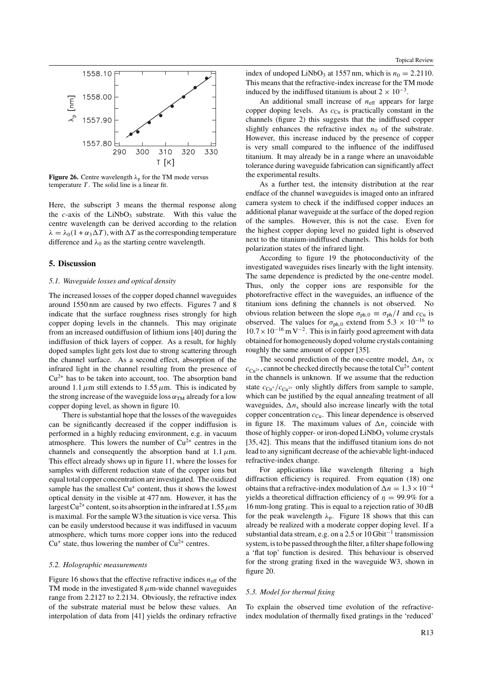

**Figure 26.** Centre wavelength  $\lambda_p$  for the TM mode versus temperature *T* . The solid line is a linear fit.

Here, the subscript 3 means the thermal response along the *c*-axis of the LiNbO<sub>3</sub> substrate. With this value the centre wavelength can be derived according to the relation  $\lambda = \lambda_0 (1 + \alpha_3 \Delta T)$ , with  $\Delta T$  as the corresponding temperature difference and  $\lambda_0$  as the starting centre wavelength.

#### **5. Discussion**

#### *5.1. Waveguide losses and optical density*

The increased losses of the copper doped channel waveguides around 1550 nm are caused by two effects. Figures 7 and 8 indicate that the surface roughness rises strongly for high copper doping levels in the channels. This may originate from an increased outdiffusion of lithium ions [40] during the indiffusion of thick layers of copper. As a result, for highly doped samples light gets lost due to strong scattering through the channel surface. As a second effect, absorption of the infrared light in the channel resulting from the presence of  $Cu<sup>2+</sup>$  has to be taken into account, too. The absorption band around 1.1  $\mu$ m still extends to 1.55  $\mu$ m. This is indicated by the strong increase of the waveguide loss  $\alpha_{TM}$  already for a low copper doping level, as shown in figure 10.

There is substantial hope that the losses of the waveguides can be significantly decreased if the copper indiffusion is performed in a highly reducing environment, e.g. in vacuum atmosphere. This lowers the number of  $Cu^{2+}$  centres in the channels and consequently the absorption band at  $1.1 \mu$ m. This effect already shows up in figure 11, where the losses for samples with different reduction state of the copper ions but equal total copper concentration are investigated. The oxidized sample has the smallest  $Cu<sup>+</sup>$  content, thus it shows the lowest optical density in the visible at 477 nm. However, it has the largest Cu<sup>2+</sup> content, so its absorption in the infrared at 1.55  $\mu$ m is maximal. For the sample W3 the situation is vice versa. This can be easily understood because it was indiffused in vacuum atmosphere, which turns more copper ions into the reduced  $Cu<sup>+</sup>$  state, thus lowering the number of  $Cu<sup>2+</sup>$  centres.

#### *5.2. Holographic measurements*

Figure 16 shows that the effective refractive indices  $n_{\text{eff}}$  of the TM mode in the investigated 8  $\mu$ m-wide channel waveguides range from 2.2127 to 2.2134. Obviously, the refractive index of the substrate material must be below these values. An interpolation of data from [41] yields the ordinary refractive index of undoped LiNbO<sub>3</sub> at 1557 nm, which is  $n_0 = 2.2110$ . This means that the refractive-index increase for the TM mode induced by the indiffused titanium is about  $2 \times 10^{-3}$ .

An additional small increase of  $n<sub>eff</sub>$  appears for large copper doping levels. As  $c_{Cu}$  is practically constant in the channels (figure 2) this suggests that the indiffused copper slightly enhances the refractive index  $n_0$  of the substrate. However, this increase induced by the presence of copper is very small compared to the influence of the indiffused titanium. It may already be in a range where an unavoidable tolerance during waveguide fabrication can significantly affect the experimental results.

As a further test, the intensity distribution at the rear endface of the channel waveguides is imaged onto an infrared camera system to check if the indiffused copper induces an additional planar waveguide at the surface of the doped region of the samples. However, this is not the case. Even for the highest copper doping level no guided light is observed next to the titanium-indiffused channels. This holds for both polarization states of the infrared light.

According to figure 19 the photoconductivity of the investigated waveguides rises linearly with the light intensity. The same dependence is predicted by the one-centre model. Thus, only the copper ions are responsible for the photorefractive effect in the waveguides, an influence of the titanium ions defining the channels is not observed. No obvious relation between the slope  $\sigma_{ph,0} \equiv \sigma_{ph}/I$  and  $c_{Cu}$  is observed. The values for  $\sigma_{ph,0}$  extend from 5.3 × 10<sup>-16</sup> to  $10.7 \times 10^{-16}$  m V<sup>-2</sup>. This is in fairly good agreement with data obtained for homogeneously doped volume crystals containing roughly the same amount of copper [35].

The second prediction of the one-centre model,  $\Delta n_s \propto$  $c_{\text{Cu}^{2+}}$ , cannot be checked directly because the total Cu<sup>2+</sup> content in the channels is unknown. If we assume that the reduction state  $c_{\text{Cu}^{+}}/c_{\text{Cu}^{2+}}$  only slightly differs from sample to sample, which can be justified by the equal annealing treatment of all waveguides,  $\Delta n_s$  should also increase linearly with the total copper concentration  $c_{\text{Cu}}$ . This linear dependence is observed in figure 18. The maximum values of  $\Delta n_s$  coincide with those of highly copper- or iron-doped  $LiNbO<sub>3</sub>$  volume crystals [35, 42]. This means that the indiffused titanium ions do not lead to any significant decrease of the achievable light-induced refractive-index change.

For applications like wavelength filtering a high diffraction efficiency is required. From equation (18) one obtains that a refractive-index modulation of  $\Delta n = 1.3 \times 10^{-4}$ yields a theoretical diffraction efficiency of  $\eta = 99.9\%$  for a 16 mm-long grating. This is equal to a rejection ratio of 30 dB for the peak wavelength  $\lambda_p$ . Figure 18 shows that this can already be realized with a moderate copper doping level. If a substantial data stream, e.g. on a 2.5 or  $10$  Gbit<sup>-1</sup> transmission system, is to be passed through the filter, a filter shape following a 'flat top' function is desired. This behaviour is observed for the strong grating fixed in the waveguide W3, shown in figure 20.

#### *5.3. Model for thermal fixing*

To explain the observed time evolution of the refractiveindex modulation of thermally fixed gratings in the 'reduced'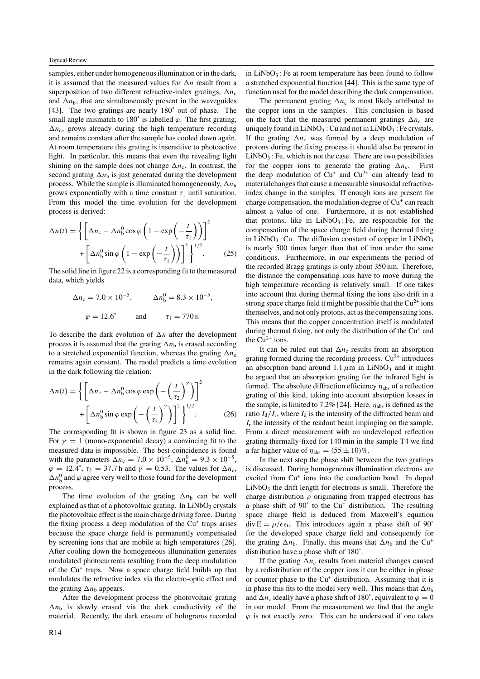samples, either under homogeneous illumination or in the dark, it is assumed that the measured values for  $\Delta n$  result from a superposition of two different refractive-index gratings,  $\Delta n_c$ and  $\Delta n_{\rm b}$ , that are simultaneously present in the waveguides [43]. The two gratings are nearly 180˚ out of phase. The small angle mismatch to  $180^\circ$  is labelled  $\varphi$ . The first grating,  $\Delta n_c$ , grows already during the high temperature recording and remains constant after the sample has cooled down again. At room temperature this grating is insensitive to photoactive light. In particular, this means that even the revealing light shining on the sample does not change  $\Delta n_c$ . In contrast, the second grating  $\Delta n_{\rm b}$  is just generated during the development process. While the sample is illuminated homogeneously,  $\Delta n_b$ grows exponentially with a time constant  $\tau_1$  until saturation. From this model the time evolution for the development process is derived:

$$
\Delta n(t) = \left\{ \left[ \Delta n_c - \Delta n_b^0 \cos \varphi \left( 1 - \exp \left( -\frac{t}{\tau_1} \right) \right) \right]^2 + \left[ \Delta n_b^0 \sin \varphi \left( 1 - \exp \left( -\frac{t}{\tau_1} \right) \right) \right]^2 \right\}^{1/2}.
$$
 (25)

The solid line in figure 22 is a corresponding fit to the measured data, which yields

$$
\Delta n_c = 7.0 \times 10^{-5}
$$
,  $\Delta n_b^0 = 8.3 \times 10^{-5}$ ,  
\n $\varphi = 12.6^\circ$  and  $\tau_1 = 770 \text{ s}$ .

To describe the dark evolution of  $\Delta n$  after the development process it is assumed that the grating  $\Delta n_b$  is erased according to a stretched exponential function, whereas the grating  $\Delta n_c$ remains again constant. The model predicts a time evolution in the dark following the relation:

$$
\Delta n(t) = \left\{ \left[ \Delta n_{\rm c} - \Delta n_{\rm b}^0 \cos \varphi \exp \left( -\left(\frac{t}{\tau_2}\right)^\gamma \right) \right]^2 + \left[ \Delta n_{\rm b}^0 \sin \varphi \exp \left( -\left(\frac{t}{\tau_2}\right)^\gamma \right) \right]^2 \right\}^{1/2}.
$$
 (26)

The corresponding fit is shown in figure 23 as a solid line. For  $\gamma = 1$  (mono-exponential decay) a convincing fit to the measured data is impossible. The best coincidence is found with the parameters  $\Delta n_c = 7.0 \times 10^{-5}$ ,  $\Delta n_b^0 = 9.3 \times 10^{-5}$ ,  $\varphi = 12.4^{\circ}$ ,  $\tau_2 = 37.7$  h and  $\gamma = 0.53$ . The values for  $\Delta n_c$ ,  $\Delta n_b^0$  and  $\varphi$  agree very well to those found for the development process.

The time evolution of the grating  $\Delta n_b$  can be well explained as that of a photovoltaic grating. In  $LiNbO<sub>3</sub>$  crystals the photovoltaic effect is the main charge driving force. During the fixing process a deep modulation of the  $Cu<sup>+</sup>$  traps arises because the space charge field is permanently compensated by screening ions that are mobile at high temperatures [26]. After cooling down the homogeneous illumination generates modulated photocurrents resulting from the deep modulation of the Cu<sup>+</sup> traps. Now a space charge field builds up that modulates the refractive index via the electro-optic effect and the grating  $\Delta n_b$  appears.

After the development process the photovoltaic grating  $\Delta n_{\rm b}$  is slowly erased via the dark conductivity of the material. Recently, the dark erasure of holograms recorded in  $LiNbO<sub>3</sub>$ : Fe at room temperature has been found to follow a stretched exponential function [44]. This is the same type of function used for the model describing the dark compensation.

The permanent grating  $\Delta n_c$  is most likely attributed to the copper ions in the samples. This conclusion is based on the fact that the measured permanent gratings  $\Delta n_c$  are uniquely found in  $LiNbO<sub>3</sub>$ : Cu and not in  $LiNbO<sub>3</sub>$ : Fe crystals. If the grating  $\Delta n_c$  was formed by a deep modulation of protons during the fixing process it should also be present in  $LiNbO<sub>3</sub>$ : Fe, which is not the case. There are two possibilities for the copper ions to generate the grating  $\Delta n_c$ . First the deep modulation of  $Cu^+$  and  $Cu^{2+}$  can already lead to materialchanges that cause a measurable sinusoidal refractiveindex change in the samples. If enough ions are present for charge compensation, the modulation degree of  $Cu<sup>+</sup>$  can reach almost a value of one. Furthermore, it is not established that protons, like in  $LiNbO<sub>3</sub>$ : Fe, are responsible for the compensation of the space charge field during thermal fixing in LiNbO<sub>3</sub>: Cu. The diffusion constant of copper in LiNbO<sub>3</sub> is nearly 500 times larger than that of iron under the same conditions. Furthermore, in our experiments the period of the recorded Bragg gratings is only about 350 nm. Therefore, the distance the compensating ions have to move during the high temperature recording is relatively small. If one takes into account that during thermal fixing the ions also drift in a strong space charge field it might be possible that the  $Cu^{2+}$  ions themselves, and not only protons, act as the compensating ions. This means that the copper concentration itself is modulated during thermal fixing, not only the distribution of the  $Cu<sup>+</sup>$  and the  $Cu^{2+}$  ions.

It can be ruled out that  $\Delta n_c$  results from an absorption grating formed during the recording process.  $Cu^{2+}$  introduces an absorption band around  $1.1 \mu m$  in LiNbO<sub>3</sub> and it might be argued that an absorption grating for the infrared light is formed. The absolute diffraction efficiency *η*abs of a reflection grating of this kind, taking into account absorption losses in the sample, is limited to 7.2% [24]. Here, *η*abs is defined as the ratio  $I_d/I_r$ , where  $I_d$  is the intensity of the diffracted beam and *I*<sup>r</sup> the intensity of the readout beam impinging on the sample. From a direct measurement with an undeveloped reflection grating thermally-fixed for 140 min in the sample T4 we find a far higher value of  $\eta_{\text{abs}} = (55 \pm 10)\%$ .

In the next step the phase shift between the two gratings is discussed. During homogeneous illumination electrons are excited from  $Cu<sup>+</sup>$  ions into the conduction band. In doped  $LiNbO<sub>3</sub>$  the drift length for electrons is small. Therefore the charge distribution  $\rho$  originating from trapped electrons has a phase shift of 90° to the Cu<sup>+</sup> distribution. The resulting space charge field is deduced from Maxwell's equation  $\text{div } E = \rho / \epsilon \epsilon_0$ . This introduces again a phase shift of 90° for the developed space charge field and consequently for the grating  $\Delta n_b$ . Finally, this means that  $\Delta n_b$  and the Cu<sup>+</sup> distribution have a phase shift of 180˚.

If the grating  $\Delta n_c$  results from material changes caused by a redistribution of the copper ions it can be either in phase or counter phase to the Cu<sup>+</sup> distribution. Assuming that it is in phase this fits to the model very well. This means that  $\Delta n_{\rm b}$ and  $\Delta n_c$  ideally have a phase shift of 180°, equivalent to  $\varphi = 0$ in our model. From the measurement we find that the angle  $\varphi$  is not exactly zero. This can be understood if one takes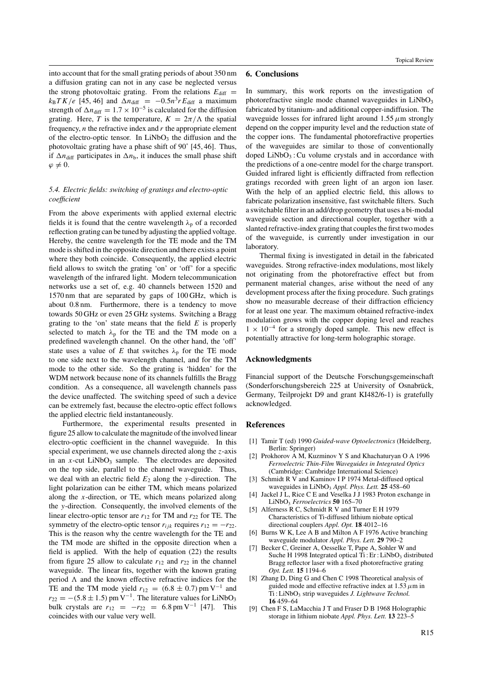into account that for the small grating periods of about 350 nm a diffusion grating can not in any case be neglected versus the strong photovoltaic grating. From the relations  $E_{\text{diff}} =$  $k_B T K/e$  [45, 46] and  $\Delta n_{\text{diff}} = -0.5n^3 r E_{\text{diff}}$  a maximum strength of  $\Delta n_{\text{diff}} = 1.7 \times 10^{-5}$  is calculated for the diffusion grating. Here, *T* is the temperature,  $K = 2\pi/\Lambda$  the spatial frequency, *n* the refractive index and *r* the appropriate element of the electro-optic tensor. In  $LiNbO<sub>3</sub>$  the diffusion and the photovoltaic grating have a phase shift of 90˚ [45, 46]. Thus, if  $\Delta n_{\text{diff}}$  participates in  $\Delta n_{\text{b}}$ , it induces the small phase shift  $\varphi \neq 0$ .

#### *5.4. Electric fields: switching of gratings and electro-optic coefficient*

From the above experiments with applied external electric fields it is found that the centre wavelength  $\lambda_p$  of a recorded reflection grating can be tuned by adjusting the applied voltage. Hereby, the centre wavelength for the TE mode and the TM mode is shifted in the opposite direction and there exists a point where they both coincide. Consequently, the applied electric field allows to switch the grating 'on' or 'off' for a specific wavelength of the infrared light. Modern telecommunication networks use a set of, e.g. 40 channels between 1520 and 1570 nm that are separated by gaps of 100 GHz, which is about 0.8 nm. Furthermore, there is a tendency to move towards 50 GHz or even 25 GHz systems. Switching a Bragg grating to the 'on' state means that the field *E* is properly selected to match  $\lambda_p$  for the TE and the TM mode on a predefined wavelength channel. On the other hand, the 'off' state uses a value of *E* that switches  $\lambda_p$  for the TE mode to one side next to the wavelength channel, and for the TM mode to the other side. So the grating is 'hidden' for the WDM network because none of its channels fulfills the Bragg condition. As a consequence, all wavelength channels pass the device unaffected. The switching speed of such a device can be extremely fast, because the electro-optic effect follows the applied electric field instantaneously.

Furthermore, the experimental results presented in figure 25 allow to calculate the magnitude of the involved linear electro-optic coefficient in the channel waveguide. In this special experiment, we use channels directed along the *z*-axis in an  $x$ -cut  $LiNbO<sub>3</sub>$  sample. The electrodes are deposited on the top side, parallel to the channel waveguide. Thus, we deal with an electric field  $E_2$  along the *y*-direction. The light polarization can be either TM, which means polarized along the *x*-direction, or TE, which means polarized along the *y*-direction. Consequently, the involved elements of the linear electro-optic tensor are  $r_{12}$  for TM and  $r_{22}$  for TE. The symmetry of the electro-optic tensor  $r_{ijk}$  requires  $r_{12} = -r_{22}$ . This is the reason why the centre wavelength for the TE and the TM mode are shifted in the opposite direction when a field is applied. With the help of equation (22) the results from figure 25 allow to calculate  $r_{12}$  and  $r_{22}$  in the channel waveguide. The linear fits, together with the known grating period  $\Lambda$  and the known effective refractive indices for the TE and the TM mode yield  $r_{12} = (6.8 \pm 0.7)$  pm V<sup>-1</sup> and  $r_{22} = -(5.8 \pm 1.5)$  pm V<sup>-1</sup>. The literature values for LiNbO<sub>3</sub> bulk crystals are  $r_{12} = -r_{22} = 6.8$  pm V<sup>-1</sup> [47]. This coincides with our value very well.

#### **6. Conclusions**

In summary, this work reports on the investigation of photorefractive single mode channel waveguides in  $LiNbO<sub>3</sub>$ fabricated by titanium- and additional copper-indiffusion. The waveguide losses for infrared light around  $1.55 \mu$ m strongly depend on the copper impurity level and the reduction state of the copper ions. The fundamental photorefractive properties of the waveguides are similar to those of conventionally doped  $LiNbO<sub>3</sub>$ : Cu volume crystals and in accordance with the predictions of a one-centre model for the charge transport. Guided infrared light is efficiently diffracted from reflection gratings recorded with green light of an argon ion laser. With the help of an applied electric field, this allows to fabricate polarization insensitive, fast switchable filters. Such a switchable filter in an add/drop geometry that uses a bi-modal waveguide section and directional coupler, together with a slanted refractive-index grating that couples the first two modes of the waveguide, is currently under investigation in our laboratory.

Thermal fixing is investigated in detail in the fabricated waveguides. Strong refractive-index modulations, most likely not originating from the photorefractive effect but from permanent material changes, arise without the need of any development process after the fixing procedure. Such gratings show no measurable decrease of their diffraction efficiency for at least one year. The maximum obtained refractive-index modulation grows with the copper doping level and reaches  $1 \times 10^{-4}$  for a strongly doped sample. This new effect is potentially attractive for long-term holographic storage.

#### **Acknowledgments**

Financial support of the Deutsche Forschungsgemeinschaft (Sonderforschungsbereich 225 at University of Osnabrück, Germany, Teilprojekt D9 and grant KI482/6-1) is gratefully acknowledged.

#### **References**

- [1] Tamir T (ed) 1990 *Guided-wave Optoelectronics* (Heidelberg, Berlin: Springer)
- [2] Prokhorov A M, Kuzminov Y S and Khachaturyan O A 1996 *Ferroelectric Thin-Film Waveguides in Integrated Optics* (Cambridge: Cambridge International Science)
- [3] Schmidt R V and Kaminov I P 1974 Metal-diffused optical waveguides in LiNbO3 *Appl. Phys. Lett.* **25** 458–60
- [4] Jackel J L, Rice C E and Veselka J J 1983 Proton exchange in LiNbO3 *Ferroelectrics* **50** 165–70
- [5] Alferness R C, Schmidt R V and Turner E H 1979 Characteristics of Ti-diffused lithium niobate optical directional couplers *Appl. Opt.* **18** 4012–16
- [6] Burns W K, Lee A B and Milton A F 1976 Active branching waveguide modulator *Appl. Phys. Lett.* **29** 790–2
- [7] Becker C, Greiner A, Oesselke T, Pape A, Sohler W and Suche H 1998 Integrated optical Ti: Er: LiNbO<sub>3</sub> distributed Bragg reflector laser with a fixed photorefractive grating *Opt. Lett.* **15** 1194–6
- [8] Zhang D, Ding G and Chen C 1998 Theoretical analysis of guided mode and effective refractive index at 1.53*µ*m in Ti : LiNbO<sub>3</sub> strip waveguides *J. Lightwave Technol*. **16** 459–64
- [9] Chen F S, LaMacchia J T and Fraser D B 1968 Holographic storage in lithium niobate *Appl. Phys. Lett.* **13** 223–5